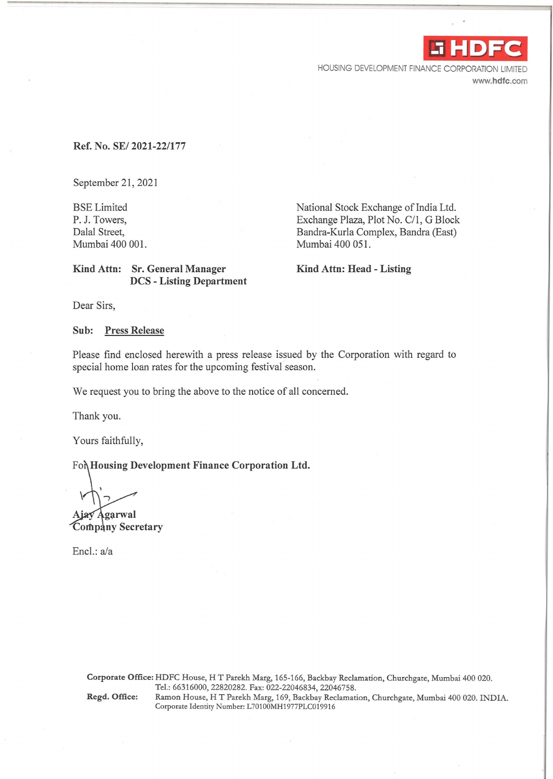-i **HDFC** 

. ' I

HOUSING DEVELOPMENT FINANCE CORPORATION LIMITED www.hdfc.com

## Ref. No. SE/ 2021-22/177

September 21, 2021

BSE Limited P. J. Towers, Dalal Street, Mumbai 400 001. National Stock Exchange of India Ltd. Exchange Plaza, Plot No. C/l, G Block Bandra-Kurla Complex, Bandra (East) Mumbai 400 051.

Kind Attn: Head - Listing

## Kind Attn: Sr. General Manager DCS - Listing Department

Dear Sirs,

#### Sub: Press Release

Please find enclosed herewith a press release issued by the Corporation with regard to special home loan rates for the upcoming festival season.

We request you to bring the above to the notice of all concerned.

Thank you.

Yours faithfully,

For Housing Development Finance Corporation Ltd.

Ajay Agarwal Company Secretary

Encl.: a/a

Corporate Office: HDFC House, HT Parekh Marg, 165-166, Backbay Reclamation, Churchgate, Mumbai 400 020. Tel.: 66316000, 22820282. Fax: 022-22046834, 22046758.

Regd. Office: Ramon House, HT Parekh Marg, 169, Backbay Reclamation, Churchgate, Mumbai 400 020. INDIA. Corporate Identity Number: L70100MH1977PLC019916